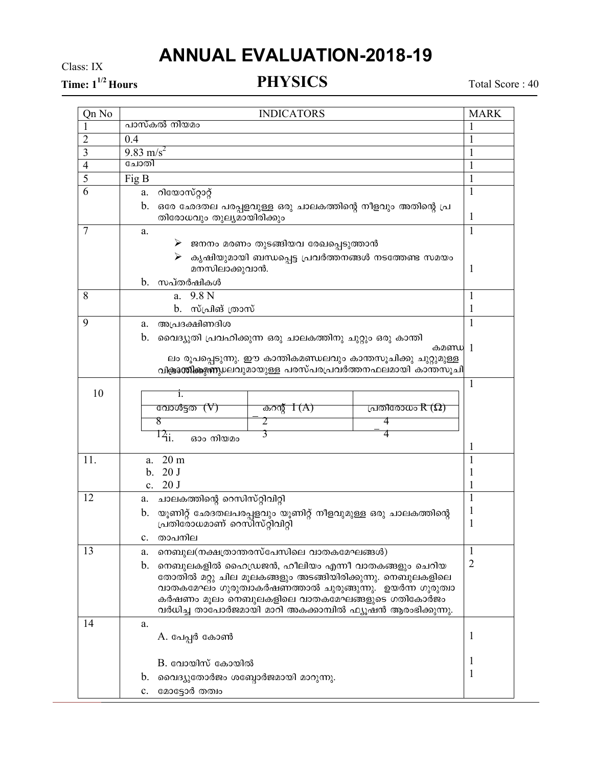## **ANNUAL EVALUATION-2018-19**

Class: IX

Time:  $1^{1/2}$  Hours

**PHYSICS** 

Total Score: 40

| Qn No          | <b>INDICATORS</b>                                                                                          |              |  |
|----------------|------------------------------------------------------------------------------------------------------------|--------------|--|
| 1              | പാസ്കൽ നിയമം                                                                                               |              |  |
| $\overline{c}$ | 0.4                                                                                                        |              |  |
| 3              | 9.83 m/s <sup>2</sup>                                                                                      |              |  |
| $\overline{4}$ | ചോതി                                                                                                       |              |  |
| 5              | Fig B                                                                                                      |              |  |
| 6              | റിയോസ്റ്റാറ്റ്<br>a.                                                                                       |              |  |
|                | b.<br>ഒരേ ഛേദതല പരപ്പളവുള്ള ഒരു ചാലകത്തിന്റെ നീളവും അതിന്റെ പ്ര<br>തിരോധവും തുല്യമായിരിക്കും               | $\mathbf{I}$ |  |
| 7              | a.                                                                                                         | $\mathbf{1}$ |  |
|                | ജനനം മരണം തുടങ്ങിയവ രേഖപ്പെടുത്താൻ<br>➤                                                                    |              |  |
|                | കൃഷിയുമായി ബന്ധപ്പെട്ട പ്രവർത്തനങ്ങൾ നടത്തേണ്ട സമയം<br>➤                                                   |              |  |
|                | മനസിലാക്കുവാൻ.                                                                                             | 1            |  |
|                | സപ്തർഷികൾ<br>$b_{\cdot}$                                                                                   |              |  |
| 8              | 9.8 <sub>N</sub><br>a.                                                                                     | 1            |  |
|                | b. സ്പ്രിങ് ത്രാസ്                                                                                         | 1            |  |
| 9              | അപ്രദക്ഷിണദിശ<br>a.                                                                                        | 1            |  |
|                | b.<br>വൈദ്യുതി പ്രവഹിക്കുന്ന ഒരു ചാലകത്തിനു ചുറ്റും ഒരു കാന്തി                                             |              |  |
|                | കമണ്ഡ 1<br>ലം രൂപപ്പെടുന്നു. ഈ കാന്തികമണ്ഡലവും കാന്തസൂചിക്കു ചുറ്റുമുള്ള                                   |              |  |
|                | വിക്കുത്തികളുണ്ണ്യലവുമായുള്ള പരസ്പരപ്രവർത്തനഫലമായി കാന്തസൂചി                                               |              |  |
|                |                                                                                                            | 1            |  |
| 10             | 1.                                                                                                         |              |  |
|                | വോൾട്ടത $(V)$<br>പ്രതിരോധം $R\left( \Omega\right)$<br>കറന്റ് $I(A)$                                        |              |  |
|                | 8<br>4<br>2                                                                                                |              |  |
|                | 3<br>$12_{ii.}$<br>4<br>ഓം നിയമം                                                                           |              |  |
|                |                                                                                                            |              |  |
| 11.            | 20 <sub>m</sub><br>a.                                                                                      | 1            |  |
|                | 20 <sub>J</sub><br>b.                                                                                      | 1            |  |
|                | c. $20 J$                                                                                                  |              |  |
| 12             | ചാലകത്തിന്റെ റെസിസ്റ്റിവിറ്റി<br>a.                                                                        | 1            |  |
|                | യൂണിറ്റ് ഛേദതലപരപ്പളവും യൂണിറ്റ് നീളവുമുള്ള ഒരു ചാലകത്തിന്റെ<br>$\mathbf b$ .                              | 1            |  |
|                | പ്രതിരോധമാണ് റെസിസ്റ്റിവിറ്റി                                                                              | 1            |  |
|                | താപനില<br>$c_{-}$                                                                                          |              |  |
| 13             | നെബുല(നക്ഷത്രാന്തരസ്പേസിലെ വാതകമേഘങ്ങൾ)<br>a.                                                              | 1            |  |
|                | നെബുലകളിൽ ഹൈഡ്രജൻ, ഹീലിയം എന്നീ വാതകങ്ങളും ചെറിയ<br>$\mathbf{b}$ .                                         | 2            |  |
|                | തോതിൽ മറ്റു ചില മൂലകങ്ങളും അടങ്ങിയിരിക്കുന്നു. നെബുലകളിലെ                                                  |              |  |
|                | വാതകമേഘം ഗുരുത്വാകർഷണത്താൽ ചുരുങ്ങുന്നു.  ഉയർന്ന ഗുരുത്വാ<br>കർഷണം മൂലം നെബുലകളിലെ വാതകമേഘങ്ങളുടെ ഗതികോർജം |              |  |
|                | വർധിച്ച താപോർജമായി മാറി അകക്കാമ്പിൽ ഫ്യൂഷൻ ആരംഭിക്കുന്നു.                                                  |              |  |
| 14             | a.                                                                                                         |              |  |
|                | A. പേപ്പർ കോൺ                                                                                              | 1            |  |
|                |                                                                                                            |              |  |
|                | $B$ . വോയിസ് കോയിൽ                                                                                         | 1            |  |
|                | വൈദ്യുതോർജം ശബ്ദോർജമായി മാറുന്നു.<br>b.                                                                    | 1            |  |
|                | മോട്ടോർ തത്വം<br>c.                                                                                        |              |  |
|                |                                                                                                            |              |  |